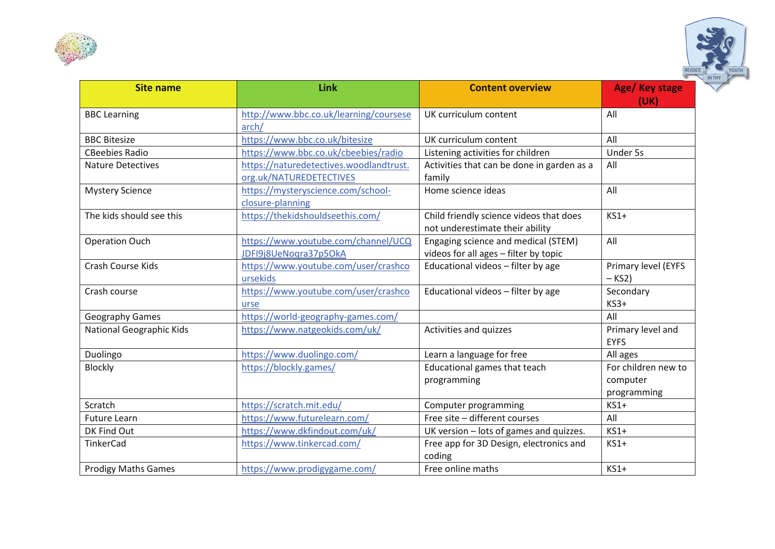



| <b>Site name</b>                | Link                                                               | <b>Content overview</b>                                                      | Age/ Key stage<br>(UK)                         |
|---------------------------------|--------------------------------------------------------------------|------------------------------------------------------------------------------|------------------------------------------------|
| <b>BBC</b> Learning             | http://www.bbc.co.uk/learning/coursese<br>arch/                    | UK curriculum content                                                        | All                                            |
| <b>BBC Bitesize</b>             | https://www.bbc.co.uk/bitesize                                     | UK curriculum content                                                        | All                                            |
| <b>CBeebies Radio</b>           | https://www.bbc.co.uk/cbeebies/radio                               | Listening activities for children                                            | Under 5s                                       |
| <b>Nature Detectives</b>        | https://naturedetectives.woodlandtrust.<br>org.uk/NATUREDETECTIVES | Activities that can be done in garden as a<br>family                         | All                                            |
| <b>Mystery Science</b>          | https://mysteryscience.com/school-<br>closure-planning             | Home science ideas                                                           | All                                            |
| The kids should see this        | https://thekidshouldseethis.com/                                   | Child friendly science videos that does<br>not underestimate their ability   | $KS1+$                                         |
| <b>Operation Ouch</b>           | https://www.youtube.com/channel/UCQ<br>JDFI9j8UeNogra37p5OkA       | Engaging science and medical (STEM)<br>videos for all ages - filter by topic | All                                            |
| Crash Course Kids               | https://www.youtube.com/user/crashco<br>ursekids                   | Educational videos - filter by age                                           | Primary level (EYFS<br>$-KS2$                  |
| Crash course                    | https://www.youtube.com/user/crashco<br>urse                       | Educational videos - filter by age                                           | Secondary<br>$KS3+$                            |
| Geography Games                 | https://world-geography-games.com/                                 |                                                                              | All                                            |
| <b>National Geographic Kids</b> | https://www.natgeokids.com/uk/                                     | Activities and quizzes                                                       | Primary level and<br><b>EYFS</b>               |
| Duolingo                        | https://www.duolingo.com/                                          | Learn a language for free                                                    | All ages                                       |
| Blockly                         | https://blockly.games/                                             | Educational games that teach<br>programming                                  | For children new to<br>computer<br>programming |
| Scratch                         | https://scratch.mit.edu/                                           | Computer programming                                                         | $KS1+$                                         |
| <b>Future Learn</b>             | https://www.futurelearn.com/                                       | Free site - different courses                                                | All                                            |
| DK Find Out                     | https://www.dkfindout.com/uk/                                      | UK version - lots of games and quizzes.                                      | $KS1+$                                         |
| TinkerCad                       | https://www.tinkercad.com/                                         | Free app for 3D Design, electronics and<br>coding                            | $KS1+$                                         |
| <b>Prodigy Maths Games</b>      | https://www.prodigygame.com/                                       | Free online maths                                                            | $KS1+$                                         |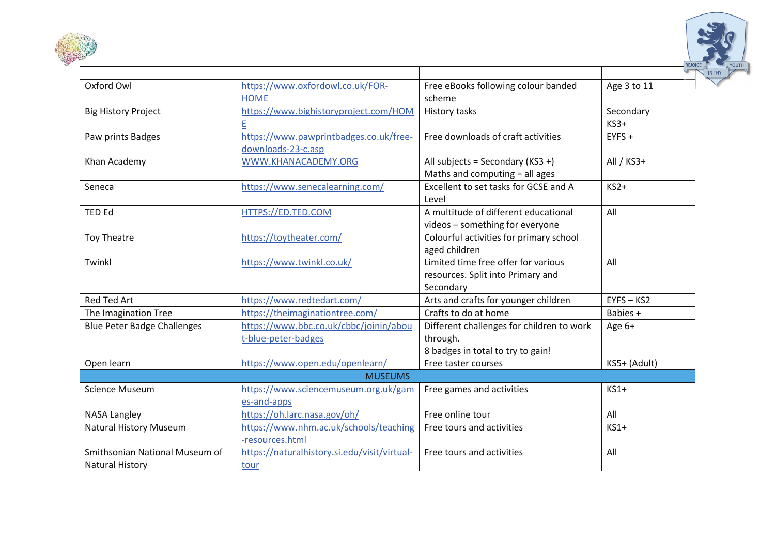



| Oxford Owl                                               | https://www.oxfordowl.co.uk/FOR-<br><b>HOME</b>               | Free eBooks following colour banded<br>scheme                                              | Age 3 to 11         |  |  |
|----------------------------------------------------------|---------------------------------------------------------------|--------------------------------------------------------------------------------------------|---------------------|--|--|
| <b>Big History Project</b>                               | https://www.bighistoryproject.com/HOM<br>Е                    | History tasks                                                                              | Secondary<br>$KS3+$ |  |  |
| Paw prints Badges                                        | https://www.pawprintbadges.co.uk/free-<br>downloads-23-c.asp  | Free downloads of craft activities                                                         | $EYFS +$            |  |  |
| Khan Academy                                             | WWW.KHANACADEMY.ORG                                           | All subjects = Secondary ( $KS3 +$ )<br>Maths and computing = all ages                     | All / KS3+          |  |  |
| Seneca                                                   | https://www.senecalearning.com/                               | Excellent to set tasks for GCSE and A<br>Level                                             | $KS2+$              |  |  |
| <b>TED Ed</b>                                            | HTTPS://ED.TED.COM                                            | A multitude of different educational<br>videos - something for everyone                    | All                 |  |  |
| <b>Toy Theatre</b>                                       | https://toytheater.com/                                       | Colourful activities for primary school<br>aged children                                   |                     |  |  |
| Twinkl                                                   | https://www.twinkl.co.uk/                                     | Limited time free offer for various<br>resources. Split into Primary and<br>Secondary      | All                 |  |  |
| <b>Red Ted Art</b>                                       | https://www.redtedart.com/                                    | Arts and crafts for younger children                                                       | $EYFS - KS2$        |  |  |
| The Imagination Tree                                     | https://theimaginationtree.com/                               | Crafts to do at home                                                                       | Babies +            |  |  |
| <b>Blue Peter Badge Challenges</b>                       | https://www.bbc.co.uk/cbbc/joinin/abou<br>t-blue-peter-badges | Different challenges for children to work<br>through.<br>8 badges in total to try to gain! | Age 6+              |  |  |
| Open learn                                               | https://www.open.edu/openlearn/                               | Free taster courses                                                                        | KS5+ (Adult)        |  |  |
| <b>MUSEUMS</b>                                           |                                                               |                                                                                            |                     |  |  |
| <b>Science Museum</b>                                    | https://www.sciencemuseum.org.uk/gam<br>es-and-apps           | Free games and activities                                                                  | $KS1+$              |  |  |
| <b>NASA Langley</b>                                      | https://oh.larc.nasa.gov/oh/                                  | Free online tour                                                                           | All                 |  |  |
| <b>Natural History Museum</b>                            | https://www.nhm.ac.uk/schools/teaching<br>-resources.html     | Free tours and activities                                                                  | $KS1+$              |  |  |
| Smithsonian National Museum of<br><b>Natural History</b> | https://naturalhistory.si.edu/visit/virtual-<br>tour          | Free tours and activities                                                                  | All                 |  |  |